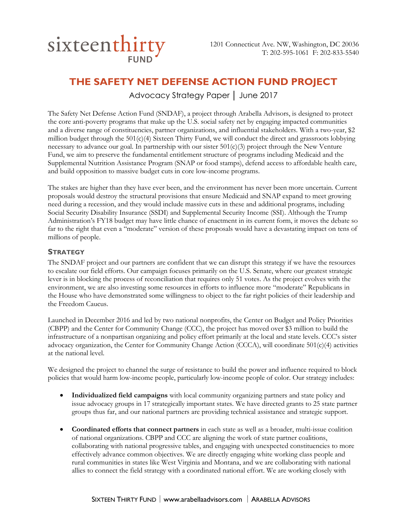

# **THE SAFETY NET DEFENSE ACTION FUND PROJECT**

Advocacy Strategy Paper │ June 2017

The Safety Net Defense Action Fund (SNDAF), a project through Arabella Advisors, is designed to protect the core anti-poverty programs that make up the U.S. social safety net by engaging impacted communities and a diverse range of constituencies, partner organizations, and influential stakeholders. With a two-year, \$2 million budget through the  $501(c)(4)$  Sixteen Thirty Fund, we will conduct the direct and grassroots lobbying necessary to advance our goal. In partnership with our sister 501(c)(3) project through the New Venture Fund, we aim to preserve the fundamental entitlement structure of programs including Medicaid and the Supplemental Nutrition Assistance Program (SNAP or food stamps), defend access to affordable health care, and build opposition to massive budget cuts in core low-income programs.

The stakes are higher than they have ever been, and the environment has never been more uncertain. Current proposals would destroy the structural provisions that ensure Medicaid and SNAP expand to meet growing need during a recession, and they would include massive cuts in these and additional programs, including Social Security Disability Insurance (SSDI) and Supplemental Security Income (SSI). Although the Trump Administration's FY18 budget may have little chance of enactment in its current form, it moves the debate so far to the right that even a "moderate" version of these proposals would have a devastating impact on tens of millions of people.

## **STRATEGY**

The SNDAF project and our partners are confident that we can disrupt this strategy if we have the resources to escalate our field efforts. Our campaign focuses primarily on the U.S. Senate, where our greatest strategic lever is in blocking the process of reconciliation that requires only 51 votes. As the project evolves with the environment, we are also investing some resources in efforts to influence more "moderate" Republicans in the House who have demonstrated some willingness to object to the far right policies of their leadership and the Freedom Caucus.

Launched in December 2016 and led by two national nonprofits, the Center on Budget and Policy Priorities (CBPP) and the Center for Community Change (CCC), the project has moved over \$3 million to build the infrastructure of a nonpartisan organizing and policy effort primarily at the local and state levels. CCC's sister advocacy organization, the Center for Community Change Action (CCCA), will coordinate 501(c)(4) activities at the national level.

We designed the project to channel the surge of resistance to build the power and influence required to block policies that would harm low-income people, particularly low-income people of color. Our strategy includes:

- **Individualized field campaigns** with local community organizing partners and state policy and issue advocacy groups in 17 strategically important states. We have directed grants to 25 state partner groups thus far, and our national partners are providing technical assistance and strategic support.
- **Coordinated efforts that connect partners** in each state as well as a broader, multi-issue coalition of national organizations. CBPP and CCC are aligning the work of state partner coalitions, collaborating with national progressive tables, and engaging with unexpected constituencies to more effectively advance common objectives. We are directly engaging white working class people and rural communities in states like West Virginia and Montana, and we are collaborating with national allies to connect the field strategy with a coordinated national effort. We are working closely with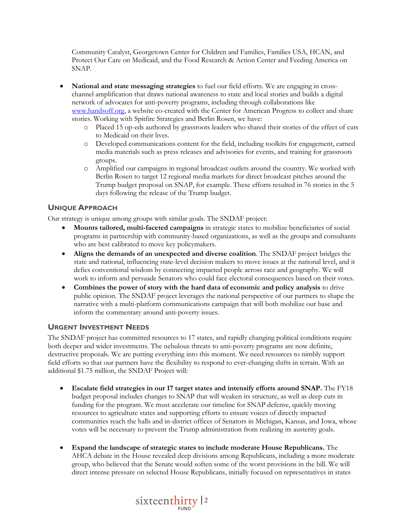Community Catalyst, Georgetown Center for Children and Families, Families USA, HCAN, and Protect Our Care on Medicaid, and the Food Research & Action Center and Feeding America on SNAP.

- **National and state messaging strategies** to fuel our field efforts. We are engaging in crosschannel amplification that draws national awareness to state and local stories and builds a digital network of advocates for anti-poverty programs, including through collaborations like [www.handsoff.org,](http://www.handsoff.org/) a website co-created with the Center for American Progress to collect and share stories. Working with Spitfire Strategies and Berlin Rosen, we have:
	- o Placed 15 op-eds authored by grassroots leaders who shared their stories of the effect of cuts to Medicaid on their lives.
	- o Developed communications content for the field, including toolkits for engagement, earned media materials such as press releases and advisories for events, and training for grassroots groups.
	- o Amplified our campaigns in regional broadcast outlets around the country. We worked with Berlin Rosen to target 12 regional media markets for direct broadcast pitches around the Trump budget proposal on SNAP, for example. These efforts resulted in 76 stories in the 5 days following the release of the Trump budget.

## **UNIQUE APPROACH**

Our strategy is unique among groups with similar goals. The SNDAF project:

- **Mounts tailored, multi-faceted campaigns** in strategic states to mobilize beneficiaries of social programs in partnership with community-based organizations, as well as the groups and consultants who are best calibrated to move key policymakers.
- **Aligns the demands of an unexpected and diverse coalition**. The SNDAF project bridges the state and national, influencing state-level decision makers to move issues at the national level, and it defies conventional wisdom by connecting impacted people across race and geography. We will work to inform and persuade Senators who could face electoral consequences based on their votes.
- **Combines the power of story with the hard data of economic and policy analysis** to drive public opinion. The SNDAF project leverages the national perspective of our partners to shape the narrative with a multi-platform communications campaign that will both mobilize our base and inform the commentary around anti-poverty issues.

## **URGENT INVESTMENT NEEDS**

The SNDAF project has committed resources to 17 states, and rapidly changing political conditions require both deeper and wider investments. The nebulous threats to anti-poverty programs are now definite, destructive proposals. We are putting everything into this moment. We need resources to nimbly support field efforts so that our partners have the flexibility to respond to ever-changing shifts in terrain. With an additional \$1.75 million, the SNDAF Project will:

- **Escalate field strategies in our 17 target states and intensify efforts around SNAP.** The FY18 budget proposal includes changes to SNAP that will weaken its structure, as well as deep cuts in funding for the program. We must accelerate our timeline for SNAP defense, quickly moving resources to agriculture states and supporting efforts to ensure voices of directly impacted communities reach the halls and in-district offices of Senators in Michigan, Kansas, and Iowa, whose votes will be necessary to prevent the Trump administration from realizing its austerity goals.
- **Expand the landscape of strategic states to include moderate House Republicans.** The AHCA debate in the House revealed deep divisions among Republicans, including a more moderate group, who believed that the Senate would soften some of the worst provisions in the bill. We will direct intense pressure on selected House Republicans, initially focused on representatives in states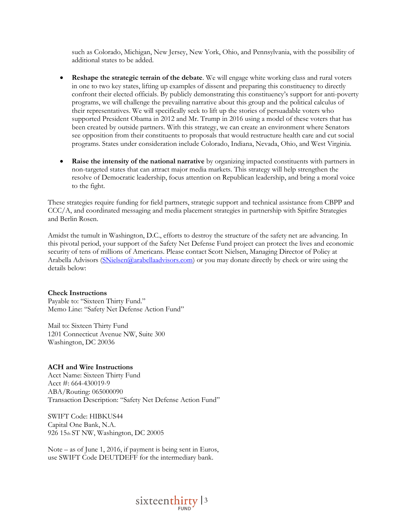such as Colorado, Michigan, New Jersey, New York, Ohio, and Pennsylvania, with the possibility of additional states to be added.

- **Reshape the strategic terrain of the debate**. We will engage white working class and rural voters in one to two key states, lifting up examples of dissent and preparing this constituency to directly confront their elected officials. By publicly demonstrating this constituency's support for anti-poverty programs, we will challenge the prevailing narrative about this group and the political calculus of their representatives. We will specifically seek to lift up the stories of persuadable voters who supported President Obama in 2012 and Mr. Trump in 2016 using a model of these voters that has been created by outside partners. With this strategy, we can create an environment where Senators see opposition from their constituents to proposals that would restructure health care and cut social programs. States under consideration include Colorado, Indiana, Nevada, Ohio, and West Virginia.
- **Raise the intensity of the national narrative** by organizing impacted constituents with partners in non-targeted states that can attract major media markets. This strategy will help strengthen the resolve of Democratic leadership, focus attention on Republican leadership, and bring a moral voice to the fight.

These strategies require funding for field partners, strategic support and technical assistance from CBPP and CCC/A, and coordinated messaging and media placement strategies in partnership with Spitfire Strategies and Berlin Rosen.

Amidst the tumult in Washington, D.C., efforts to destroy the structure of the safety net are advancing. In this pivotal period, your support of the Safety Net Defense Fund project can protect the lives and economic security of tens of millions of Americans. Please contact Scott Nielsen, Managing Director of Policy at Arabella Advisors [\(SNielsen@arabellaadvisors.com\)](mailto:SNielsen@arabellaadvisors.com) or you may donate directly by check or wire using the details below:

#### **Check Instructions**

Payable to: "Sixteen Thirty Fund." Memo Line: "Safety Net Defense Action Fund"

Mail to: Sixteen Thirty Fund 1201 Connecticut Avenue NW, Suite 300 Washington, DC 20036

#### **ACH and Wire Instructions**

Acct Name: Sixteen Thirty Fund Acct #: 664-430019-9 ABA/Routing: 065000090 Transaction Description: "Safety Net Defense Action Fund"

SWIFT Code: HIBKUS44 Capital One Bank, N.A. 926 15th ST NW, Washington, DC 20005

Note – as of June 1, 2016, if payment is being sent in Euros, use SWIFT Code DEUTDEFF for the intermediary bank.

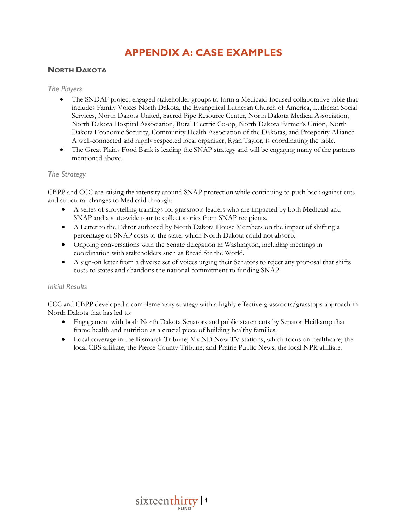## **APPENDIX A: CASE EXAMPLES**

## **NORTH DAKOTA**

#### *The Players*

- The SNDAF project engaged stakeholder groups to form a Medicaid-focused collaborative table that includes Family Voices North Dakota, the Evangelical Lutheran Church of America, Lutheran Social Services, North Dakota United, Sacred Pipe Resource Center, North Dakota Medical Association, North Dakota Hospital Association, Rural Electric Co-op, North Dakota Farmer's Union, North Dakota Economic Security, Community Health Association of the Dakotas, and Prosperity Alliance. A well-connected and highly respected local organizer, Ryan Taylor, is coordinating the table.
- The Great Plains Food Bank is leading the SNAP strategy and will be engaging many of the partners mentioned above.

## *The Strategy*

CBPP and CCC are raising the intensity around SNAP protection while continuing to push back against cuts and structural changes to Medicaid through:

- A series of storytelling trainings for grassroots leaders who are impacted by both Medicaid and SNAP and a state-wide tour to collect stories from SNAP recipients.
- A Letter to the Editor authored by North Dakota House Members on the impact of shifting a percentage of SNAP costs to the state, which North Dakota could not absorb.
- Ongoing conversations with the Senate delegation in Washington, including meetings in coordination with stakeholders such as Bread for the World.
- A sign-on letter from a diverse set of voices urging their Senators to reject any proposal that shifts costs to states and abandons the national commitment to funding SNAP.

#### *Initial Results*

CCC and CBPP developed a complementary strategy with a highly effective grassroots/grasstops approach in North Dakota that has led to:

- Engagement with both North Dakota Senators and public statements by Senator Heitkamp that frame health and nutrition as a crucial piece of building healthy families.
- Local coverage in the Bismarck Tribune; My ND Now TV stations, which focus on healthcare; the local CBS affiliate; the Pierce County Tribune; and Prairie Public News, the local NPR affiliate.

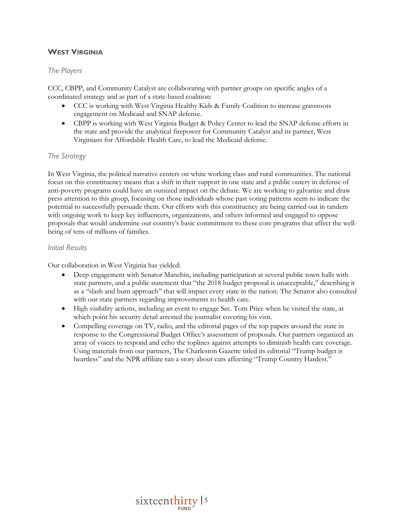## **WEST VIRGINIA**

### *The Players*

CCC, CBPP, and Community Catalyst are collaborating with partner groups on specific angles of a coordinated strategy and as part of a state-based coalition:

- CCC is working with West Virginia Healthy Kids & Family Coalition to increase grassroots engagement on Medicaid and SNAP defense.
- CBPP is working with West Virginia Budget & Policy Center to lead the SNAP defense efforts in the state and provide the analytical firepower for Community Catalyst and its partner, West Virginians for Affordable Health Care, to lead the Medicaid defense.

### *The Strategy*

In West Virginia, the political narrative centers on white working class and rural communities. The national focus on this constituency means that a shift in their support in one state and a public outcry in defense of anti-poverty programs could have an outsized impact on the debate. We are working to galvanize and draw press attention to this group, focusing on those individuals whose past voting patterns seem to indicate the potential to successfully persuade them. Our efforts with this constituency are being carried out in tandem with ongoing work to keep key influencers, organizations, and others informed and engaged to oppose proposals that would undermine our country's basic commitment to these core programs that affect the wellbeing of tens of millions of families.

#### *Initial Results*

Our collaboration in West Virginia has yielded:

- Deep engagement with Senator Manchin, including participation at several public town halls with state partners, and a public statement that "the 2018 budget proposal is unacceptable," describing it as a "slash and burn approach" that will impact every state in the nation. The Senator also consulted with our state partners regarding improvements to health care.
- High visibility actions, including an event to engage Sec. Tom Price when he visited the state, at which point his security detail arrested the journalist covering his visit.
- Compelling coverage on TV, radio, and the editorial pages of the top papers around the state in response to the Congressional Budget Office's assessment of proposals. Our partners organized an array of voices to respond and echo the toplines against attempts to diminish health care coverage. Using materials from our partners, The Charleston Gazette titled its editorial "Trump budget is heartless" and the NPR affiliate ran a story about cuts affecting "Trump Country Hardest."